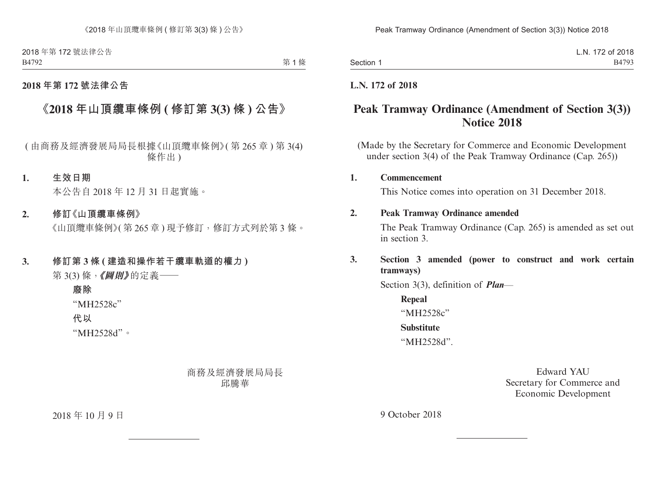2018 年第 172 號法律公告 B4792

第1條

### **2018 年第 172 號法律公告**

# **《2018 年山頂纜車條例 ( 修訂第 3(3) 條 ) 公告》**

( 由商務及經濟發展局局長根據《山頂纜車條例》( 第 265 章 ) 第 3(4) 條作出 )

#### **1. 生效日期**

本公告自 2018 年 12 月 31 日起實施。

#### **2. 修訂《山頂纜車條例》**

《山頂纜車條例》(第265章)現予修訂,修訂方式列於第3條。

### **3. 修訂第 3 條 ( 建造和操作若干纜車軌道的權力 )**

第 3(3) 條,**《圖則》**的定義——

## **廢除** "MH2528c"

**代以**

"MH2528d"。

## 商務及經濟發展局局長 邱騰華

2018 年 10 月 9 日